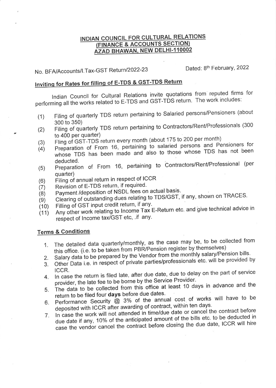## INDIAN COUNCIL FOR CULTURAL RELATIONS (FINANCE & ACCOUNTS SECTION) AZAD BHAWAN, NEW DELHI-110002

Dated: 8th February, 2022 No. BFA/Accounts/I.Tax-GST Return/2022-23

## Inviting for Rates for filling of E-TDS & GST-TDS Return

Indian Council for Cultural Relations invite quotations from reputed firms for performing all the works related to E-TDS and GST-TDS return. The work includes:

- Filing of quarterly TDS return pertaining to Salaried persons/Pensioners (about  $(1)$ 300 to 350)
- Filing of quarterly TDS return pertaining to Contractors/Rent/Professionals (300  $(2)$ to 400 per quarter)
- Fling of GST-TDS return every month (about 175 to 200 per month)  $(3)$
- Preparation of From 16, pertaining to salaried persons and Pensioners for  $(4)$ whose TDS has been made and also to those whose TDS has not been deducted.
- Preparation of From 16, pertaining to Contractors/Rent/Professional (per  $(5)$ quarter)
- Filing of annual return in respect of ICCR  $(6)$
- Revision of E-TDS return, if required.  $(7)$
- Payment /deposition of NSDL fees on actual basis.  $(8)$
- Clearing of outstanding dues relating to TDS/GST, if any, shown on TRACES.  $(9)$
- Filling of GST input credit return, if any.  $(10)$
- Any other work relating to Income Tax E-Return etc. and give technical advice in  $(11)$ respect of Income tax/GST etc, .if any.

## **Terms & Conditions**

- The detailed data quarterly/monthly, as the case may be, to be collected from  $1_{-}$ this office. (i.e. to be taken from PBR/Pension register by themselves)
	- Salary data to be prepared by the Vendor from the monthly salary/Pension bills.
- 2. Other Data i.e. in respect of private parties/professionals etc. will be provided by 3.
- ICCR. 4. In case the return is filed late, after due date, due to delay on the part of service provider, the late fee to be borne by the Service Provider.
- The data to be collected from this office at least 10 days in advance and the 5. return to be filed four days before due dates.
- 6. Performance Security @ 3% of the annual cost of works will have to be deposited with ICCR after awarding of contract, within ten days.
- In case the work will not attended in time/due date or cancel the contract before due date if any, 10% of the anticipated amount of the bills etc. to be deducted in 7. case the vendor cancel the contract before closing the due date, ICCR will hire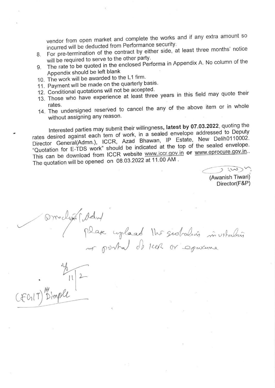vendor from open market and complete the works and if any extra amount so incurred will be deducted from Performance security.

- 8. For pre-termination of the contract by either side, at least three months' notice will be required to serve to the other party.
- $9<sub>1</sub>$ The rate to be quoted in the enclosed Performa in Appendix A. No column of the Appendix should be left blank
- 10. The work will be awarded to the L1 firm.
- 11. Payment will be made on the quarterly basis.
- 
- Payment will be made on the quarterly sum.<br>Conditional quotations will not be accepted.<br>These who have experience at least three years in this field may quote thei 12. Conditional quotations will not be accepted.<br>13. Those who have experience at least three years in this field may quote their 13.
- rates.<br>14. The undersigned reserved to cancel the any of the above item or in whole without assigning any reason.

Interested parties may submit their willingness, latest by once and the states desired against each tem of work, in a sealed envelope addressed to Deputy rates desired against each tem of work, in a sealed envelope address rates desired against each tem of work, in a sealed envelope dual countries.<br>Director General(Admn.), ICCR, Azad Bhawan, IP Estate, New Delih0110002. "Quotation for E-TDS work" should be indicated at the top of the sealed envelope. This can be download from ICCR website www.iccr.gov.in or www.eprocure.gov.in.. The quotation will be opened on  $08.03.2022$  at 11.00 AM.

no portal de reel or comme

 $\overline{\bigcup_{i=1}^{n} w_i}$ 

(Awanish Tiwari) Director(F&P)

talin

(ddw) place uplaad the sidraling min

 $\vert \vert$ 

 $CFCHT)^{m}$ ,

 $\mathfrak{h}$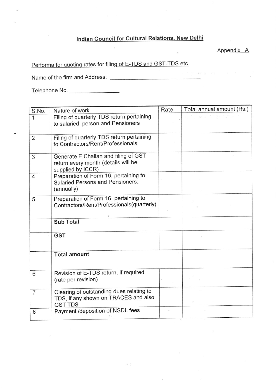## Indian Council for Cultural Relations, New Delhi

Appendix A

Performa for quoting rates for filing of E-TDS and GST-TDS etc.

Name of the firm and Address

Telephone No

 $\tilde{\mathbf{r}}$ 

| S.No.          | Nature of work                                                                                     | Rate | Total annual amount (Rs.)                                                                                              |
|----------------|----------------------------------------------------------------------------------------------------|------|------------------------------------------------------------------------------------------------------------------------|
| 1              | Filing of quarterly TDS return pertaining<br>to salaried person and Pensioners                     |      | $\mathcal{L}^{\mathcal{L}}(\mathcal{K})=\mathcal{L}^{\mathcal{L}}(\mathcal{K})=\mathcal{L}^{\mathcal{L}}(\mathcal{K})$ |
| $\overline{2}$ | Filing of quarterly TDS return pertaining<br>to Contractors/Rent/Professionals                     |      |                                                                                                                        |
| 3              | Generate E Challan and filing of GST<br>return every month (details will be<br>supplied by ICCR)   |      |                                                                                                                        |
| 4              | Preparation of Form 16, pertaining to<br>Salaried Persons and Pensioners.<br>(annually)            |      |                                                                                                                        |
| 5              | Preparation of Form 16, pertaining to<br>Contractors/Rent/Professionals(quarterly)                 |      |                                                                                                                        |
|                | <b>Sub Total</b>                                                                                   |      |                                                                                                                        |
|                | <b>GST</b>                                                                                         |      |                                                                                                                        |
|                | <b>Total amount</b>                                                                                |      |                                                                                                                        |
| 6              | Revision of E-TDS return, if required<br>(rate per revision)                                       |      |                                                                                                                        |
| $\overline{7}$ | Clearing of outstanding dues relating to<br>TDS, if any shown on TRACES and also<br><b>GST TDS</b> |      |                                                                                                                        |
| 8              | Payment /deposition of NSDL fees                                                                   |      |                                                                                                                        |

 $\mu$  (ii)